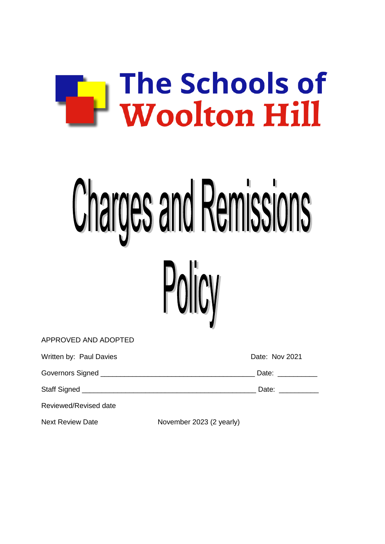

# **Charges and Remissions**



| Written by: Paul Davies |                          | Date: Nov 2021    |
|-------------------------|--------------------------|-------------------|
|                         |                          | Date: ___________ |
|                         |                          | Date: ___________ |
| Reviewed/Revised date   |                          |                   |
| <b>Next Review Date</b> | November 2023 (2 yearly) |                   |

APPROVED AND ADOPTED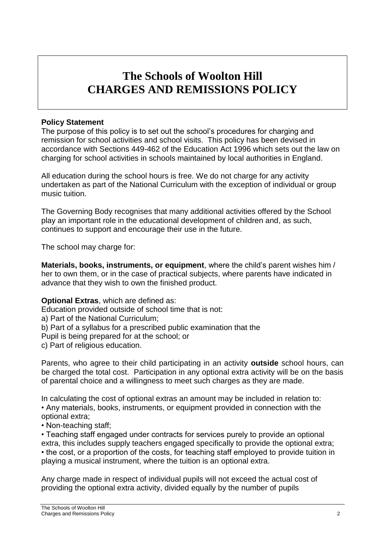# **The Schools of Woolton Hill CHARGES AND REMISSIONS POLICY**

### **Policy Statement**

The purpose of this policy is to set out the school's procedures for charging and remission for school activities and school visits. This policy has been devised in accordance with Sections 449-462 of the Education Act 1996 which sets out the law on charging for school activities in schools maintained by local authorities in England.

All education during the school hours is free. We do not charge for any activity undertaken as part of the National Curriculum with the exception of individual or group music tuition.

The Governing Body recognises that many additional activities offered by the School play an important role in the educational development of children and, as such, continues to support and encourage their use in the future.

The school may charge for:

**Materials, books, instruments, or equipment**, where the child's parent wishes him / her to own them, or in the case of practical subjects, where parents have indicated in advance that they wish to own the finished product.

### **Optional Extras**, which are defined as:

Education provided outside of school time that is not:

a) Part of the National Curriculum;

b) Part of a syllabus for a prescribed public examination that the

Pupil is being prepared for at the school; or

c) Part of religious education.

Parents, who agree to their child participating in an activity **outside** school hours, can be charged the total cost. Participation in any optional extra activity will be on the basis of parental choice and a willingness to meet such charges as they are made.

In calculating the cost of optional extras an amount may be included in relation to: • Any materials, books, instruments, or equipment provided in connection with the optional extra;

• Non-teaching staff;

• Teaching staff engaged under contracts for services purely to provide an optional extra, this includes supply teachers engaged specifically to provide the optional extra; • the cost, or a proportion of the costs, for teaching staff employed to provide tuition in playing a musical instrument, where the tuition is an optional extra.

Any charge made in respect of individual pupils will not exceed the actual cost of providing the optional extra activity, divided equally by the number of pupils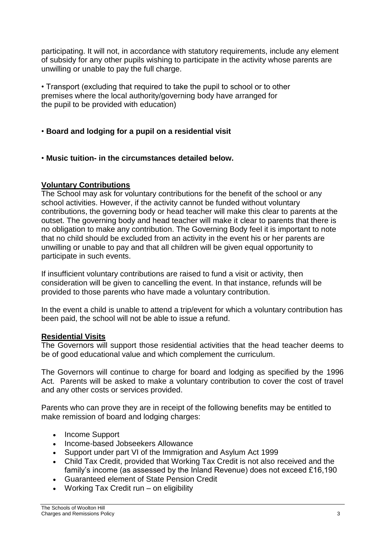participating. It will not, in accordance with statutory requirements, include any element of subsidy for any other pupils wishing to participate in the activity whose parents are unwilling or unable to pay the full charge.

• Transport (excluding that required to take the pupil to school or to other premises where the local authority/governing body have arranged for the pupil to be provided with education)

# • **Board and lodging for a pupil on a residential visit**

• **Music tuition- in the circumstances detailed below.**

## **Voluntary Contributions**

The School may ask for voluntary contributions for the benefit of the school or any school activities. However, if the activity cannot be funded without voluntary contributions, the governing body or head teacher will make this clear to parents at the outset. The governing body and head teacher will make it clear to parents that there is no obligation to make any contribution. The Governing Body feel it is important to note that no child should be excluded from an activity in the event his or her parents are unwilling or unable to pay and that all children will be given equal opportunity to participate in such events.

If insufficient voluntary contributions are raised to fund a visit or activity, then consideration will be given to cancelling the event. In that instance, refunds will be provided to those parents who have made a voluntary contribution.

In the event a child is unable to attend a trip/event for which a voluntary contribution has been paid, the school will not be able to issue a refund.

### **Residential Visits**

The Governors will support those residential activities that the head teacher deems to be of good educational value and which complement the curriculum.

The Governors will continue to charge for board and lodging as specified by the 1996 Act. Parents will be asked to make a voluntary contribution to cover the cost of travel and any other costs or services provided.

Parents who can prove they are in receipt of the following benefits may be entitled to make remission of board and lodging charges:

- Income Support
- Income-based Jobseekers Allowance
- Support under part VI of the Immigration and Asylum Act 1999
- Child Tax Credit, provided that Working Tax Credit is not also received and the family's income (as assessed by the Inland Revenue) does not exceed £16,190
- Guaranteed element of State Pension Credit
- Working Tax Credit run on eligibility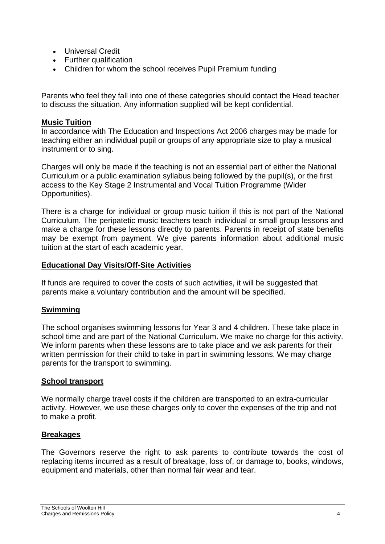- Universal Credit
- Further qualification
- Children for whom the school receives Pupil Premium funding

Parents who feel they fall into one of these categories should contact the Head teacher to discuss the situation. Any information supplied will be kept confidential.

### **Music Tuition**

In accordance with The Education and Inspections Act 2006 charges may be made for teaching either an individual pupil or groups of any appropriate size to play a musical instrument or to sing.

Charges will only be made if the teaching is not an essential part of either the National Curriculum or a public examination syllabus being followed by the pupil(s), or the first access to the Key Stage 2 Instrumental and Vocal Tuition Programme (Wider Opportunities).

There is a charge for individual or group music tuition if this is not part of the National Curriculum. The peripatetic music teachers teach individual or small group lessons and make a charge for these lessons directly to parents. Parents in receipt of state benefits may be exempt from payment. We give parents information about additional music tuition at the start of each academic year.

### **Educational Day Visits/Off-Site Activities**

If funds are required to cover the costs of such activities, it will be suggested that parents make a voluntary contribution and the amount will be specified.

### **Swimming**

The school organises swimming lessons for Year 3 and 4 children. These take place in school time and are part of the National Curriculum. We make no charge for this activity. We inform parents when these lessons are to take place and we ask parents for their written permission for their child to take in part in swimming lessons. We may charge parents for the transport to swimming.

### **School transport**

We normally charge travel costs if the children are transported to an extra-curricular activity. However, we use these charges only to cover the expenses of the trip and not to make a profit.

### **Breakages**

The Governors reserve the right to ask parents to contribute towards the cost of replacing items incurred as a result of breakage, loss of, or damage to, books, windows, equipment and materials, other than normal fair wear and tear.